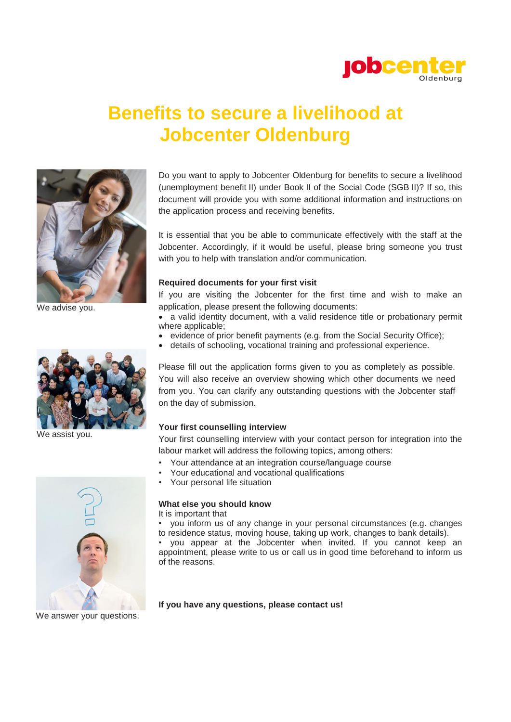

## **Benefits to secure a livelihood at Jobcenter Oldenburg**



We advise you.



We assist you.



It is essential that you be able to communicate effectively with the staff at the Jobcenter. Accordingly, if it would be useful, please bring someone you trust with you to help with translation and/or communication.

#### **Required documents for your first visit**

If you are visiting the Jobcenter for the first time and wish to make an application, please present the following documents:

 a valid identity document, with a valid residence title or probationary permit where applicable;

- evidence of prior benefit payments (e.g. from the Social Security Office);
- details of schooling, vocational training and professional experience.

Please fill out the application forms given to you as completely as possible. You will also receive an overview showing which other documents we need from you. You can clarify any outstanding questions with the Jobcenter staff on the day of submission.

### **Your first counselling interview**

Your first counselling interview with your contact person for integration into the labour market will address the following topics, among others:

- Your attendance at an integration course/language course
- Your educational and vocational qualifications
- Your personal life situation

## **What else you should know**

It is important that

• you inform us of any change in your personal circumstances (e.g. changes to residence status, moving house, taking up work, changes to bank details).

• you appear at the Jobcenter when invited. If you cannot keep an appointment, please write to us or call us in good time beforehand to inform us of the reasons.



**If you have any questions, please contact us!**

We answer your questions.